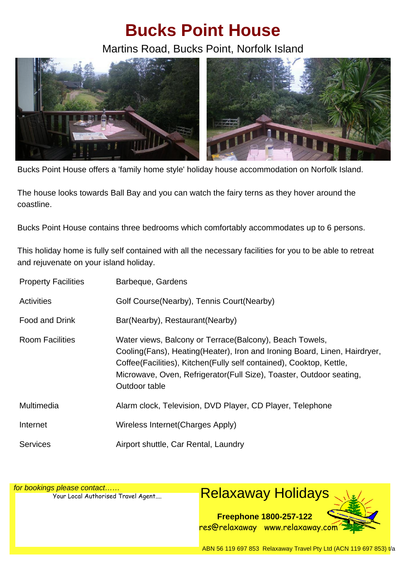## **Bucks Point House**

Martins Road, Bucks Point, Norfolk Island



Bucks Point House offers a 'family home style' holiday house accommodation on Norfolk Island.

The house looks towards Ball Bay and you can watch the fairy terns as they hover around the coastline.

Bucks Point House contains three bedrooms which comfortably accommodates up to 6 persons.

This holiday home is fully self contained with all the necessary facilities for you to be able to retreat and rejuvenate on your island holiday.

| <b>Property Facilities</b> | Barbeque, Gardens                                                                                                                                                                                                                                                                                         |
|----------------------------|-----------------------------------------------------------------------------------------------------------------------------------------------------------------------------------------------------------------------------------------------------------------------------------------------------------|
| <b>Activities</b>          | Golf Course (Nearby), Tennis Court (Nearby)                                                                                                                                                                                                                                                               |
| Food and Drink             | Bar(Nearby), Restaurant(Nearby)                                                                                                                                                                                                                                                                           |
| <b>Room Facilities</b>     | Water views, Balcony or Terrace (Balcony), Beach Towels,<br>Cooling (Fans), Heating (Heater), Iron and Ironing Board, Linen, Hairdryer,<br>Coffee (Facilities), Kitchen (Fully self contained), Cooktop, Kettle,<br>Microwave, Oven, Refrigerator (Full Size), Toaster, Outdoor seating,<br>Outdoor table |
| Multimedia                 | Alarm clock, Television, DVD Player, CD Player, Telephone                                                                                                                                                                                                                                                 |
| Internet                   | Wireless Internet (Charges Apply)                                                                                                                                                                                                                                                                         |
| <b>Services</b>            | Airport shuttle, Car Rental, Laundry                                                                                                                                                                                                                                                                      |

for bookings please contact……

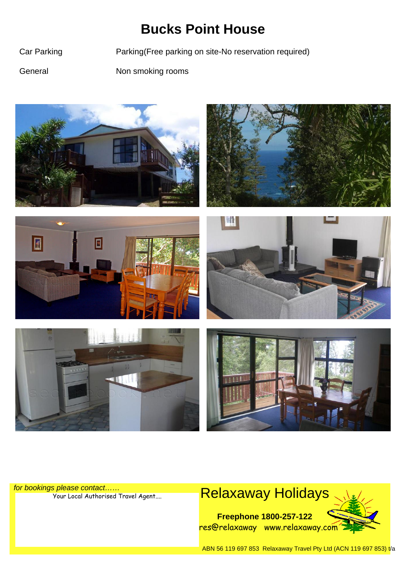## **Bucks Point House**

Car Parking Parking(Free parking on site-No reservation required)

General Non smoking rooms











for bookings please contact……

## S please contact......<br>Your Local Authorised Travel Agent.... **Relaxaway Holidays**

**Freephone 1800-257-122** res@relaxaway www.relaxaway.com



ABN 56 119 697 853 Relaxaway Travel Pty Ltd (ACN 119 697 853) t/a